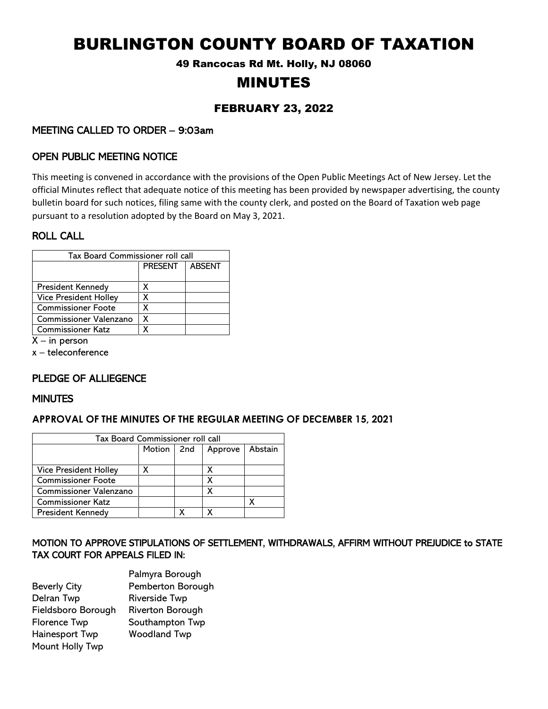# BURLINGTON COUNTY BOARD OF TAXATION

49 Rancocas Rd Mt. Holly, NJ 08060

# MINUTES

# FEBRUARY 23, 2022

# MEETING CALLED TO ORDER – 9:03am

# OPEN PUBLIC MEETING NOTICE

This meeting is convened in accordance with the provisions of the Open Public Meetings Act of New Jersey. Let the official Minutes reflect that adequate notice of this meeting has been provided by newspaper advertising, the county bulletin board for such notices, filing same with the county clerk, and posted on the Board of Taxation web page pursuant to a resolution adopted by the Board on May 3, 2021.

### ROLL CALL

| Tax Board Commissioner roll call |                |               |  |  |
|----------------------------------|----------------|---------------|--|--|
|                                  | <b>PRESENT</b> | <b>ABSENT</b> |  |  |
|                                  |                |               |  |  |
| President Kennedy                | x              |               |  |  |
| <b>Vice President Holley</b>     | χ              |               |  |  |
| <b>Commissioner Foote</b>        | χ              |               |  |  |
| Commissioner Valenzano           | χ              |               |  |  |
| <b>Commissioner Katz</b>         | X              |               |  |  |

 $X - in$  person

x – teleconference

# PLEDGE OF ALLIEGENCE

### **MINUTES**

### **APPROVAL OF THE MINUTES OF THE REGULAR MEETING OF DECEMBER 15, 2021**

| Tax Board Commissioner roll call |            |   |         |         |  |
|----------------------------------|------------|---|---------|---------|--|
|                                  | Motion 2nd |   | Approve | Abstain |  |
|                                  |            |   |         |         |  |
| <b>Vice President Holley</b>     |            |   |         |         |  |
| <b>Commissioner Foote</b>        |            |   |         |         |  |
| Commissioner Valenzano           |            |   |         |         |  |
| <b>Commissioner Katz</b>         |            |   |         |         |  |
| <b>President Kennedy</b>         |            | χ |         |         |  |

# MOTION TO APPROVE STIPULATIONS OF SETTLEMENT, WITHDRAWALS, AFFIRM WITHOUT PREJUDICE to STATE TAX COURT FOR APPEALS FILED IN:

| Palmyra Borough         |
|-------------------------|
| Pemberton Borough       |
| <b>Riverside Twp</b>    |
| <b>Riverton Borough</b> |
| Southampton Twp         |
| <b>Woodland Twp</b>     |
|                         |
|                         |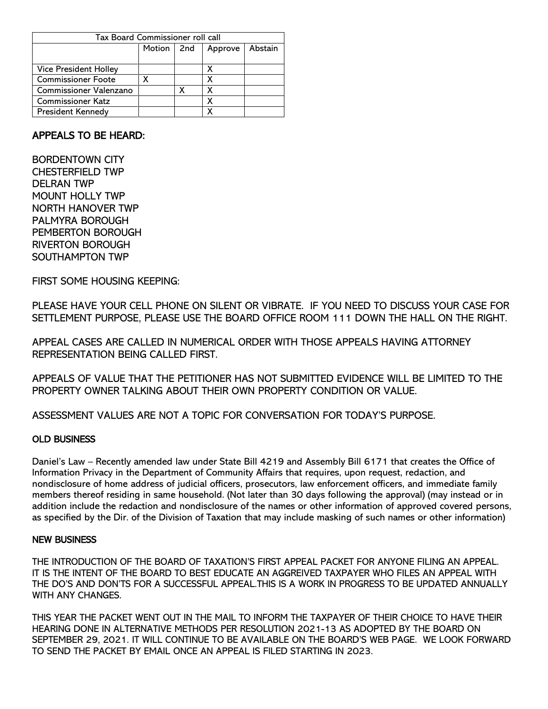| Tax Board Commissioner roll call |              |   |         |         |  |
|----------------------------------|--------------|---|---------|---------|--|
|                                  | Motion   2nd |   | Approve | Abstain |  |
|                                  |              |   |         |         |  |
| <b>Vice President Holley</b>     |              |   | х       |         |  |
| <b>Commissioner Foote</b>        |              |   | X       |         |  |
| Commissioner Valenzano           |              | χ | х       |         |  |
| <b>Commissioner Katz</b>         |              |   |         |         |  |
| <b>President Kennedy</b>         |              |   | χ       |         |  |

# APPEALS TO BE HEARD:

BORDENTOWN CITY CHESTERFIELD TWP DELRAN TWP MOUNT HOLLY TWP NORTH HANOVER TWP PALMYRA BOROUGH PEMBERTON BOROUGH RIVERTON BOROUGH SOUTHAMPTON TWP

FIRST SOME HOUSING KEEPING:

PLEASE HAVE YOUR CELL PHONE ON SILENT OR VIBRATE. IF YOU NEED TO DISCUSS YOUR CASE FOR SETTLEMENT PURPOSE, PLEASE USE THE BOARD OFFICE ROOM 111 DOWN THE HALL ON THE RIGHT.

APPEAL CASES ARE CALLED IN NUMERICAL ORDER WITH THOSE APPEALS HAVING ATTORNEY REPRESENTATION BEING CALLED FIRST.

APPEALS OF VALUE THAT THE PETITIONER HAS NOT SUBMITTED EVIDENCE WILL BE LIMITED TO THE PROPERTY OWNER TALKING ABOUT THEIR OWN PROPERTY CONDITION OR VALUE.

ASSESSMENT VALUES ARE NOT A TOPIC FOR CONVERSATION FOR TODAY'S PURPOSE.

### OLD BUSINESS

Daniel's Law – Recently amended law under State Bill 4219 and Assembly Bill 6171 that creates the Office of Information Privacy in the Department of Community Affairs that requires, upon request, redaction, and nondisclosure of home address of judicial officers, prosecutors, law enforcement officers, and immediate family members thereof residing in same household. (Not later than 30 days following the approval) (may instead or in addition include the redaction and nondisclosure of the names or other information of approved covered persons, as specified by the Dir. of the Division of Taxation that may include masking of such names or other information)

### NEW BUSINESS

THE INTRODUCTION OF THE BOARD OF TAXATION'S FIRST APPEAL PACKET FOR ANYONE FILING AN APPEAL. IT IS THE INTENT OF THE BOARD TO BEST EDUCATE AN AGGREIVED TAXPAYER WHO FILES AN APPEAL WITH THE DO'S AND DON'TS FOR A SUCCESSFUL APPEAL.THIS IS A WORK IN PROGRESS TO BE UPDATED ANNUALLY WITH ANY CHANGES.

THIS YEAR THE PACKET WENT OUT IN THE MAIL TO INFORM THE TAXPAYER OF THEIR CHOICE TO HAVE THEIR HEARING DONE IN ALTERNATIVE METHODS PER RESOLUTION 2021-13 AS ADOPTED BY THE BOARD ON SEPTEMBER 29, 2021. IT WILL CONTINUE TO BE AVAILABLE ON THE BOARD'S WEB PAGE. WE LOOK FORWARD TO SEND THE PACKET BY EMAIL ONCE AN APPEAL IS FILED STARTING IN 2023.